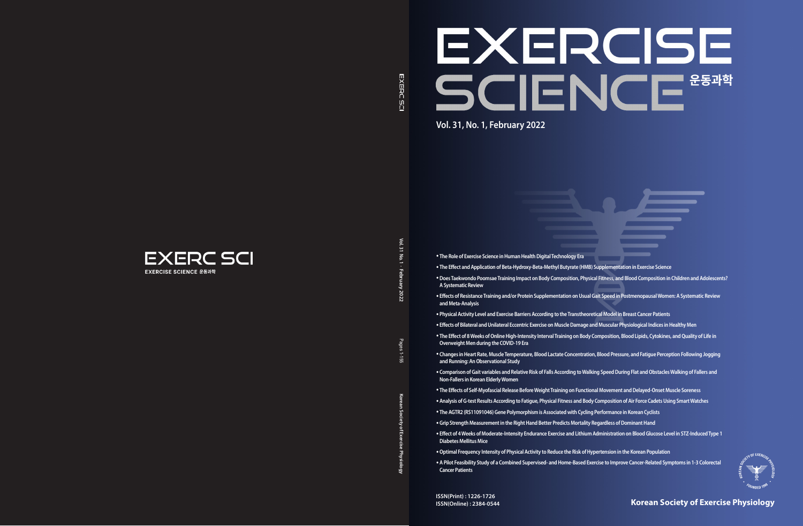Vol. 31 **Vol. 31 No. 1 · February** No.1 **2022**

**Korean Society of Exercise Physiology** Pages 1-155

ۊ

 $\overline{5}$ ean So

Pages  $-1.122$ 

# EXERCISE SCIENCE **Vol. 31, No. 1, February 2022**



# **Korean Society of Exercise Physiology**

**ISSN(Print) : 1226-1726 ISSN(Online) : 2384-0544**

- 
- 



- **The Role of Exercise Science in Human Health Digital Technology Era**
- **The Effect and Application of Beta-Hydroxy-Beta-Methyl Butyrate (HMB) Supplementation in Exercise Science**
- •**Does Taekwondo Poomsae Training Impact on Body Composition, Physical Fitness, and Blood Composition in Children and Adolescents? A Systematic Review**
- **Effects of Resistance Training and/or Protein Supplementation on Usual Gait Speed in Postmenopausal Women: A Systematic Review and Meta-Analysis**
- **Physical Activity Level and Exercise Barriers According to the Transtheoretical Model in Breast Cancer Patients**
- **Effects of Bilateral and Unilateral Eccentric Exercise on Muscle Damage and Muscular Physiological Indices in Healthy Men**
- **The Effect of 8 Weeks of Online High-Intensity Interval Training on Body Composition, Blood Lipids, Cytokines, and Quality of Life in Overweight Men during the COVID-19 Era**
- **Changes in Heart Rate, Muscle Temperature, Blood Lactate Concentration, Blood Pressure, and Fatigue Perception Following Jogging and Running: An Observational Study**
- **Comparison of Gait variables and Relative Risk of Falls According to Walking Speed During Flat and Obstacles Walking of Fallers and Non-Fallers in Korean Elderly Women**
- **The Effects of Self-Myofascial Release Before Weight Training on Functional Movement and Delayed-Onset Muscle Soreness**
- **Analysis of G-test Results According to Fatigue, Physical Fitness and Body Composition of Air Force Cadets Using Smart Watches**
- **The AGTR2 (RS11091046) Gene Polymorphism is Associated with Cycling Performance in Korean Cyclists**
- **Grip Strength Measurement in the Right Hand Better Predicts Mortality Regardless of Dominant Hand**
- **Effect of 4 Weeks of Moderate-Intensity Endurance Exercise and Lithium Administration on Blood Glucose Level in STZ-Induced Type 1 Diabetes Mellitus Mice**
- •**Optimal Frequency Intensity of Physical Activity to Reduce the Risk of Hypertension in the Korean Population**
- **A Pilot Feasibility Study of a Combined Supervised- and Home-Based Exercise to Improve Cancer-Related Symptoms in 1-3 Colorectal Cancer Patients**